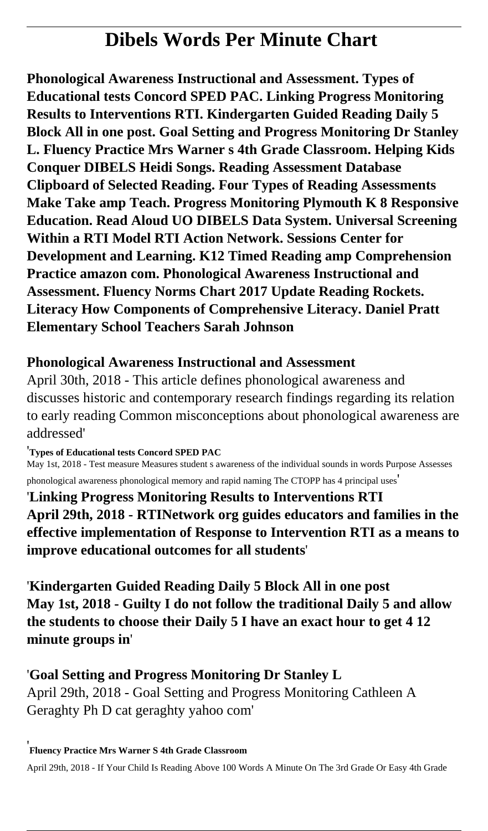# **Dibels Words Per Minute Chart**

**Phonological Awareness Instructional and Assessment. Types of Educational tests Concord SPED PAC. Linking Progress Monitoring Results to Interventions RTI. Kindergarten Guided Reading Daily 5 Block All in one post. Goal Setting and Progress Monitoring Dr Stanley L. Fluency Practice Mrs Warner s 4th Grade Classroom. Helping Kids Conquer DIBELS Heidi Songs. Reading Assessment Database Clipboard of Selected Reading. Four Types of Reading Assessments Make Take amp Teach. Progress Monitoring Plymouth K 8 Responsive Education. Read Aloud UO DIBELS Data System. Universal Screening Within a RTI Model RTI Action Network. Sessions Center for Development and Learning. K12 Timed Reading amp Comprehension Practice amazon com. Phonological Awareness Instructional and Assessment. Fluency Norms Chart 2017 Update Reading Rockets. Literacy How Components of Comprehensive Literacy. Daniel Pratt Elementary School Teachers Sarah Johnson**

### **Phonological Awareness Instructional and Assessment**

April 30th, 2018 - This article defines phonological awareness and discusses historic and contemporary research findings regarding its relation to early reading Common misconceptions about phonological awareness are addressed'

'**Types of Educational tests Concord SPED PAC**

May 1st, 2018 - Test measure Measures student s awareness of the individual sounds in words Purpose Assesses phonological awareness phonological memory and rapid naming The CTOPP has 4 principal uses'

'**Linking Progress Monitoring Results to Interventions RTI April 29th, 2018 - RTINetwork org guides educators and families in the effective implementation of Response to Intervention RTI as a means to improve educational outcomes for all students**'

'**Kindergarten Guided Reading Daily 5 Block All in one post May 1st, 2018 - Guilty I do not follow the traditional Daily 5 and allow the students to choose their Daily 5 I have an exact hour to get 4 12 minute groups in**'

'**Goal Setting and Progress Monitoring Dr Stanley L** April 29th, 2018 - Goal Setting and Progress Monitoring Cathleen A Geraghty Ph D cat geraghty yahoo com'

'**Fluency Practice Mrs Warner S 4th Grade Classroom**

April 29th, 2018 - If Your Child Is Reading Above 100 Words A Minute On The 3rd Grade Or Easy 4th Grade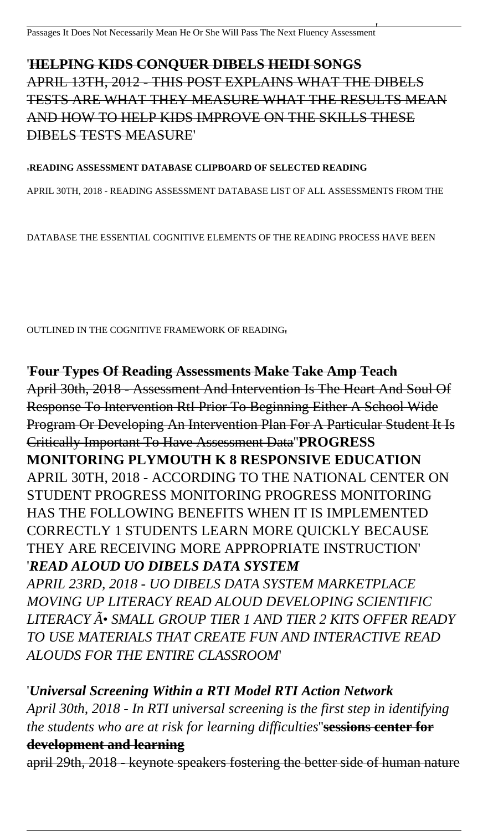### '**HELPING KIDS CONQUER DIBELS HEIDI SONGS** APRIL 13TH, 2012 - THIS POST EXPLAINS WHAT THE DIBELS TESTS ARE WHAT THEY MEASURE WHAT THE RESULTS MEAN AND HOW TO HELP KIDS IMPROVE ON THE SKILLS THESE DIBELS TESTS MEASURE'

#### '**READING ASSESSMENT DATABASE CLIPBOARD OF SELECTED READING**

APRIL 30TH, 2018 - READING ASSESSMENT DATABASE LIST OF ALL ASSESSMENTS FROM THE

DATABASE THE ESSENTIAL COGNITIVE ELEMENTS OF THE READING PROCESS HAVE BEEN

OUTLINED IN THE COGNITIVE FRAMEWORK OF READING'

'**Four Types Of Reading Assessments Make Take Amp Teach** April 30th, 2018 - Assessment And Intervention Is The Heart And Soul Of Response To Intervention RtI Prior To Beginning Either A School Wide Program Or Developing An Intervention Plan For A Particular Student It Is Critically Important To Have Assessment Data''**PROGRESS MONITORING PLYMOUTH K 8 RESPONSIVE EDUCATION** APRIL 30TH, 2018 - ACCORDING TO THE NATIONAL CENTER ON STUDENT PROGRESS MONITORING PROGRESS MONITORING HAS THE FOLLOWING BENEFITS WHEN IT IS IMPLEMENTED CORRECTLY 1 STUDENTS LEARN MORE QUICKLY BECAUSE THEY ARE RECEIVING MORE APPROPRIATE INSTRUCTION' '*READ ALOUD UO DIBELS DATA SYSTEM APRIL 23RD, 2018 - UO DIBELS DATA SYSTEM MARKETPLACE MOVING UP LITERACY READ ALOUD DEVELOPING SCIENTIFIC LITERACY Õ SMALL GROUP TIER 1 AND TIER 2 KITS OFFER READY TO USE MATERIALS THAT CREATE FUN AND INTERACTIVE READ ALOUDS FOR THE ENTIRE CLASSROOM*'

'*Universal Screening Within a RTI Model RTI Action Network April 30th, 2018 - In RTI universal screening is the first step in identifying the students who are at risk for learning difficulties*''**sessions center for development and learning**

april 29th, 2018 - keynote speakers fostering the better side of human nature